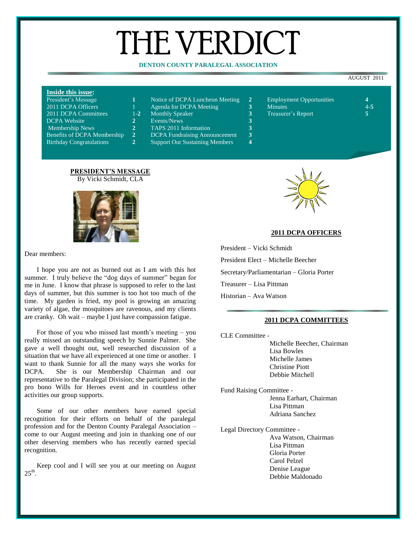# THE VERDICT

# **DENTON COUNTY PARALEGAL ASSOCIATION**

#### AUGUST 2011

## **Inside this issue:**

| President's Message                |
|------------------------------------|
| 2011 DCPA Officers                 |
| 2011 DCPA Committees               |
| <b>DCPA Website</b>                |
| <b>Membership News</b>             |
| <b>Benefits of DCPA Membership</b> |
| <b>Birthday Congratulations</b>    |

|  | Notice of DCPA Luncheon Meeting |  | <b>Employment Opportunities</b> |  |
|--|---------------------------------|--|---------------------------------|--|
|--|---------------------------------|--|---------------------------------|--|

- 
- 
- 
- 2 Events/News **3**<br>2 TAPS 2011 Information **3** 2 TAPS 2011 Information<br>2 DCPA Fundraising Anno
	- **DCPA Fundraising Announcement 3**
	- **Support Our Sustaining Members**
- **2011** Agenda for DCPA Meeting **3** Minutes **4-5** 1-2 Monthly Speaker **3** Treasurer's Report

#### **PRESIDENT'S MESSAGE** By Vicki Schmidt, CLA



#### Dear members:

I hope you are not as burned out as I am with this hot summer. I truly believe the "dog days of summer" began for me in June. I know that phrase is supposed to refer to the last days of summer, but this summer is too hot too much of the time. My garden is fried, my pool is growing an amazing variety of algae, the mosquitoes are ravenous, and my clients are cranky. Oh wait – maybe I just have compassion fatigue.

For those of you who missed last month's meeting – you really missed an outstanding speech by Sunnie Palmer. She gave a well thought out, well researched discussion of a situation that we have all experienced at one time or another. I want to thank Sunnie for all the many ways she works for DCPA. She is our Membership Chairman and our representative to the Paralegal Division; she participated in the pro bono Wills for Heroes event and in countless other activities our group supports.

Some of our other members have earned special recognition for their efforts on behalf of the paralegal profession and for the Denton County Paralegal Association – come to our August meeting and join in thanking one of our other deserving members who has recently earned special recognition.

Keep cool and I will see you at our meeting on August  $25^{\text{th}}$ .



# **2011 DCPA OFFICERS**

President – Vicki Schmidt President Elect – Michelle Beecher Secretary/Parliamentarian – Gloria Porter Treasurer – Lisa Pittman Historian – Ava Watson

#### **2011 DCPA COMMITTEES**

CLE Committee - Michelle Beecher, Chairman Lisa Bowles Michelle James Christine Piott

Debbie Mitchell

- Fund Raising Committee Jenna Earhart, Chairman Lisa Pittman Adriana Sanchez
- Legal Directory Committee Ava Watson, Chairman Lisa Pittman Gloria Porter Carol Pelzel Denise League Debbie Maldonado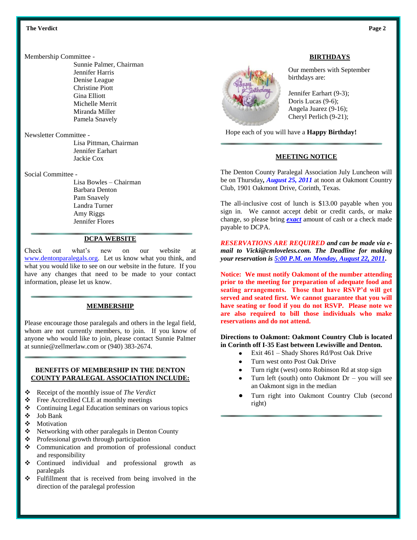#### **Example 1** The Verdict **Page 2** Page 2

Membership Committee -

Sunnie Palmer, Chairman Jennifer Harris Denise League Christine Piott Gina Elliott Michelle Merrit Miranda Miller Pamela Snavely

Newsletter Committee -

Lisa Pittman, Chairman Jennifer Earhart Jackie Cox

Social Committee -

Lisa Bowles – Chairman Barbara Denton Pam Snavely Landra Turner Amy Riggs Jennifer Flores

## **DCPA WEBSITE**

Check out what's new on our website at [www.dentonparalegals.org.](http://www.dentonparalegals.org/) Let us know what you think, and what you would like to see on our website in the future. If you have any changes that need to be made to your contact information, please let us know.

## **MEMBERSHIP**

Please encourage those paralegals and others in the legal field, whom are not currently members, to join. If you know of anyone who would like to join, please contact Sunnie Palmer at sunnie@zellmerlaw.com or (940) 383-2674.

## **BENEFITS OF MEMBERSHIP IN THE DENTON COUNTY PARALEGAL ASSOCIATION INCLUDE:**

- Receipt of the monthly issue of *The Verdict*
- ❖ Free Accredited CLE at monthly meetings
- Continuing Legal Education seminars on various topics
- Job Bank
- **\*** Motivation
- ❖ Networking with other paralegals in Denton County
- ❖ Professional growth through participation
- Communication and promotion of professional conduct and responsibility
- Continued individual and professional growth as paralegals
- Fulfillment that is received from being involved in the direction of the paralegal profession



# **BIRTHDAYS**

Our members with September birthdays are:

Jennifer Earhart (9-3); Doris Lucas (9-6); Angela Juarez (9-16); Cheryl Perlich (9-21);

Hope each of you will have a **Happy Birthday!**

# **MEETING NOTICE**

The Denton County Paralegal Association July Luncheon will be on Thursday*, August 25, 2011* at noon at Oakmont Country Club, 1901 Oakmont Drive, Corinth, Texas.

The all-inclusive cost of lunch is \$13.00 payable when you sign in. We cannot accept debit or credit cards, or make change, so please bring *exact* amount of cash or a check made payable to DCPA.

*RESERVATIONS ARE REQUIRED and can be made via email to Vicki@cmloveless.com. The Deadline for making your reservation is 5:00 P.M. on Monday, August 22, 2011.*

**Notice: We must notify Oakmont of the number attending prior to the meeting for preparation of adequate food and seating arrangements. Those that have RSVP'd will get served and seated first. We cannot guarantee that you will have seating or food if you do not RSVP. Please note we are also required to bill those individuals who make reservations and do not attend.**

**Directions to Oakmont: Oakmont Country Club is located in Corinth off I-35 East between Lewisville and Denton.**

- Exit 461 Shady Shores Rd/Post Oak Drive
- Turn west onto Post Oak Drive
- Turn right (west) onto Robinson Rd at stop sign
- Turn left (south) onto Oakmont  $Dr you$  will see an Oakmont sign in the median
- Turn right into Oakmont Country Club (second right)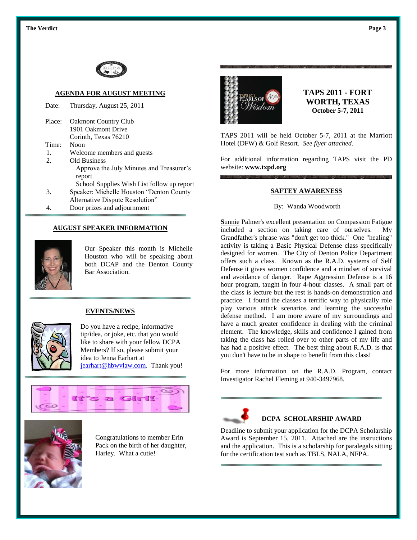

# **AGENDA FOR AUGUST MEETING**

| Date:  | Thursday, August 25, 2011                                                    |
|--------|------------------------------------------------------------------------------|
| Place: | <b>Oakmont Country Club</b>                                                  |
|        | 1901 Oakmont Drive                                                           |
|        | Corinth, Texas 76210                                                         |
| Time:  | Noon                                                                         |
| 1.     | Welcome members and guests                                                   |
| 2.     | Old Business                                                                 |
|        | Approve the July Minutes and Treasurer's                                     |
|        | report                                                                       |
|        | School Supplies Wish List follow up report                                   |
| 3.     | Speaker: Michelle Houston "Denton County"<br>Alternative Dispute Resolution" |
|        |                                                                              |

4. Door prizes and adjournment

## **AUGUST SPEAKER INFORMATION**



Our Speaker this month is Michelle Houston who will be speaking about both DCAP and the Denton County Bar Association.

#### **EVENTS/NEWS**



Do you have a recipe, informative tip/idea, or joke, etc. that you would like to share with your fellow DCPA Members? If so, please submit your idea to Jenna Earhart at [jearhart@hbwvlaw.com.](mailto:jearhart@hbwvlaw.com) Thank you!





Congratulations to member Erin Pack on the birth of her daughter, Harley. What a cutie!



**TAPS 2011 - FORT WORTH, TEXAS October 5-7, 2011**

TAPS 2011 will be held October 5-7, 2011 at the Marriott Hotel (DFW) & Golf Resort. *See flyer attached.*

For additional information regarding TAPS visit the PD website: **[www.txpd.org](http://www.txpd.org/)**

## **SAFTEY AWARENESS**

### By: Wanda Woodworth

**S**unnie Palmer's excellent presentation on Compassion Fatigue included a section on taking care of ourselves. My Grandfather's phrase was "don't get too thick." One "healing" activity is taking a Basic Physical Defense class specifically designed for women. The City of Denton Police Department offers such a class. Known as the R.A.D. systems of Self Defense it gives women confidence and a mindset of survival and avoidance of danger. Rape Aggression Defense is a 16 hour program, taught in four 4-hour classes. A small part of the class is lecture but the rest is hands-on demonstration and practice. I found the classes a terrific way to physically role play various attack scenarios and learning the successful defense method. I am more aware of my surroundings and have a much greater confidence in dealing with the criminal element. The knowledge, skills and confidence I gained from taking the class has rolled over to other parts of my life and has had a positive effect. The best thing about R.A.D. is that you don't have to be in shape to benefit from this class!

For more information on the R.A.D. Program, contact Investigator Rachel Fleming at 940-3497968.



# **DCPA SCHOLARSHIP AWARD**

Deadline to submit your application for the DCPA Scholarship Award is September 15, 2011. Attached are the instructions and the application. This is a scholarship for paralegals sitting for the certification test such as TBLS, NALA, NFPA.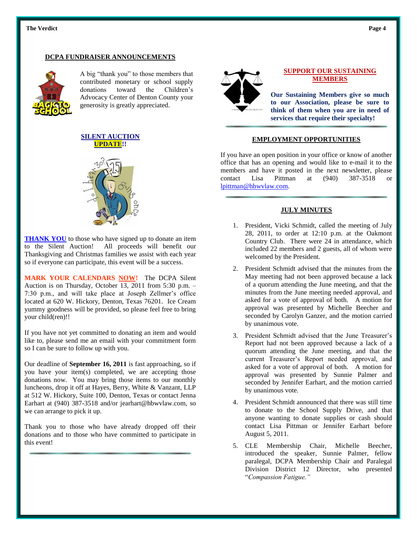#### **Example 1** The Verdict **Page 4 Page 4**

# **DCPA FUNDRAISER ANNOUNCEMENTS**



A big "thank you" to those members that contributed monetary or school supply donations toward the Children's Advocacy Center of Denton County your generosity is greatly appreciated.





**THANK YOU** to those who have signed up to donate an item to the Silent Auction! All proceeds will benefit our Thanksgiving and Christmas families we assist with each year so if everyone can participate, this event will be a success.

**MARK YOUR CALENDARS NOW!** The DCPA Silent Auction is on Thursday, October  $\overline{13}$ , 2011 from 5:30 p.m. – 7:30 p.m., and will take place at Joseph Zellmer's office located at 620 W. Hickory, Denton, Texas 76201. Ice Cream yummy goodness will be provided, so please feel free to bring your child(ren)!!

If you have not yet committed to donating an item and would like to, please send me an email with your commitment form so I can be sure to follow up with you.

Our deadline of **September 16, 2011** is fast approaching, so if you have your item(s) completed, we are accepting those donations now. You may bring those items to our monthly luncheons, drop it off at Hayes, Berry, White & Vanzant, LLP at 512 W. Hickory, Suite 100, Denton, Texas or contact Jenna Earhart at (940) 387-3518 and/or jearhart@hbwvlaw.com, so we can arrange to pick it up.

Thank you to those who have already dropped off their donations and to those who have committed to participate in this event!



# **SUPPORT OUR SUSTAINING MEMBERS**

**Our Sustaining Members give so much to our Association, please be sure to think of them when you are in need of services that require their specialty!**

# **EMPLOYMENT OPPORTUNITIES**

If you have an open position in your office or know of another office that has an opening and would like to e-mail it to the members and have it posted in the next newsletter, please contact Lisa Pittman at (940) 387-3518 or [lpittman@hbwvlaw.com.](mailto:lpittman@hbwvlaw.com)

## **JULY MINUTES**

- 1. President, Vicki Schmidt, called the meeting of July 28, 2011, to order at 12:10 p.m. at the Oakmont Country Club. There were 24 in attendance, which included 22 members and 2 guests, all of whom were welcomed by the President.
- 2. President Schmidt advised that the minutes from the May meeting had not been approved because a lack of a quorum attending the June meeting, and that the minutes from the June meeting needed approval, and asked for a vote of approval of both. A motion for approval was presented by Michelle Beecher and seconded by Carolyn Ganzer, and the motion carried by unanimous vote.
- 3. President Schmidt advised that the June Treasurer's Report had not been approved because a lack of a quorum attending the June meeting, and that the current Treasurer's Report needed approval, and asked for a vote of approval of both. A motion for approval was presented by Sunnie Palmer and seconded by Jennifer Earhart, and the motion carried by unanimous vote.
- 4. President Schmidt announced that there was still time to donate to the School Supply Drive, and that anyone wanting to donate supplies or cash should contact Lisa Pittman or Jennifer Earhart before August 5, 2011.
- 5. CLE Membership Chair, Michelle Beecher, introduced the speaker, Sunnie Palmer, fellow paralegal, DCPA Membership Chair and Paralegal Division District 12 Director, who presented "*Compassion Fatigue."*